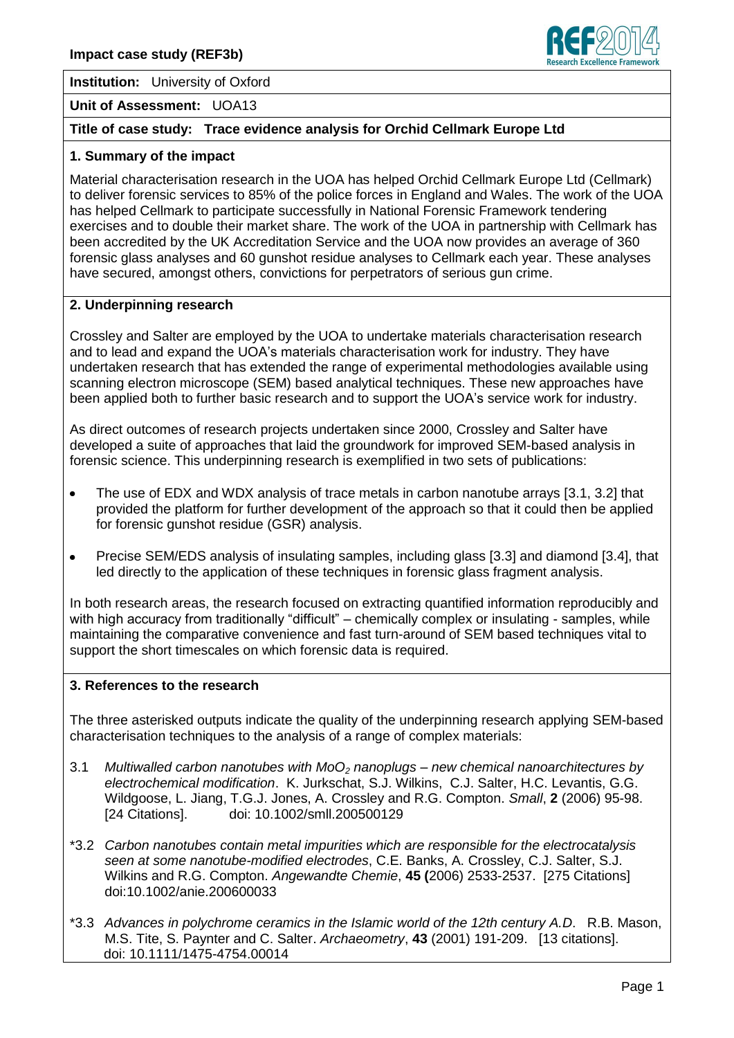

**Institution:** University of Oxford

### **Unit of Assessment:** UOA13

# **Title of case study: Trace evidence analysis for Orchid Cellmark Europe Ltd**

### **1. Summary of the impact**

Material characterisation research in the UOA has helped Orchid Cellmark Europe Ltd (Cellmark) to deliver forensic services to 85% of the police forces in England and Wales. The work of the UOA has helped Cellmark to participate successfully in National Forensic Framework tendering exercises and to double their market share. The work of the UOA in partnership with Cellmark has been accredited by the UK Accreditation Service and the UOA now provides an average of 360 forensic glass analyses and 60 gunshot residue analyses to Cellmark each year. These analyses have secured, amongst others, convictions for perpetrators of serious gun crime.

### **2. Underpinning research**

Crossley and Salter are employed by the UOA to undertake materials characterisation research and to lead and expand the UOA's materials characterisation work for industry. They have undertaken research that has extended the range of experimental methodologies available using scanning electron microscope (SEM) based analytical techniques. These new approaches have been applied both to further basic research and to support the UOA's service work for industry.

As direct outcomes of research projects undertaken since 2000, Crossley and Salter have developed a suite of approaches that laid the groundwork for improved SEM-based analysis in forensic science. This underpinning research is exemplified in two sets of publications:

- The use of EDX and WDX analysis of trace metals in carbon nanotube arrays [3.1, 3.2] that  $\bullet$ provided the platform for further development of the approach so that it could then be applied for forensic gunshot residue (GSR) analysis.
- Precise SEM/EDS analysis of insulating samples, including glass [3.3] and diamond [3.4], that led directly to the application of these techniques in forensic glass fragment analysis.

In both research areas, the research focused on extracting quantified information reproducibly and with high accuracy from traditionally "difficult" – chemically complex or insulating - samples, while maintaining the comparative convenience and fast turn-around of SEM based techniques vital to support the short timescales on which forensic data is required.

### **3. References to the research**

The three asterisked outputs indicate the quality of the underpinning research applying SEM-based characterisation techniques to the analysis of a range of complex materials:

- 3.1 *Multiwalled carbon nanotubes with MoO<sup>2</sup> nanoplugs – new chemical nanoarchitectures by electrochemical modification*. K. Jurkschat, S.J. Wilkins, C.J. Salter, H.C. Levantis, G.G. Wildgoose, L. Jiang, T.G.J. Jones, A. Crossley and R.G. Compton. *Small*, **2** (2006) 95-98. [24 Citations]. doi: 10.1002/smll.200500129
- \*3.2 *Carbon nanotubes contain metal impurities which are responsible for the electrocatalysis seen at some nanotube-modified electrodes*, C.E. Banks, A. Crossley, C.J. Salter, S.J. Wilkins and R.G. Compton. *Angewandte Chemie*, **45 (**2006) 2533-2537. [275 Citations] doi:10.1002/anie.200600033
- \*3.3 *Advances in polychrome ceramics in the Islamic world of the 12th century A.D*. R.B. Mason, M.S. Tite, S. Paynter and C. Salter. *Archaeometry*, **43** (2001) 191-209. [13 citations]. doi: 10.1111/1475-4754.00014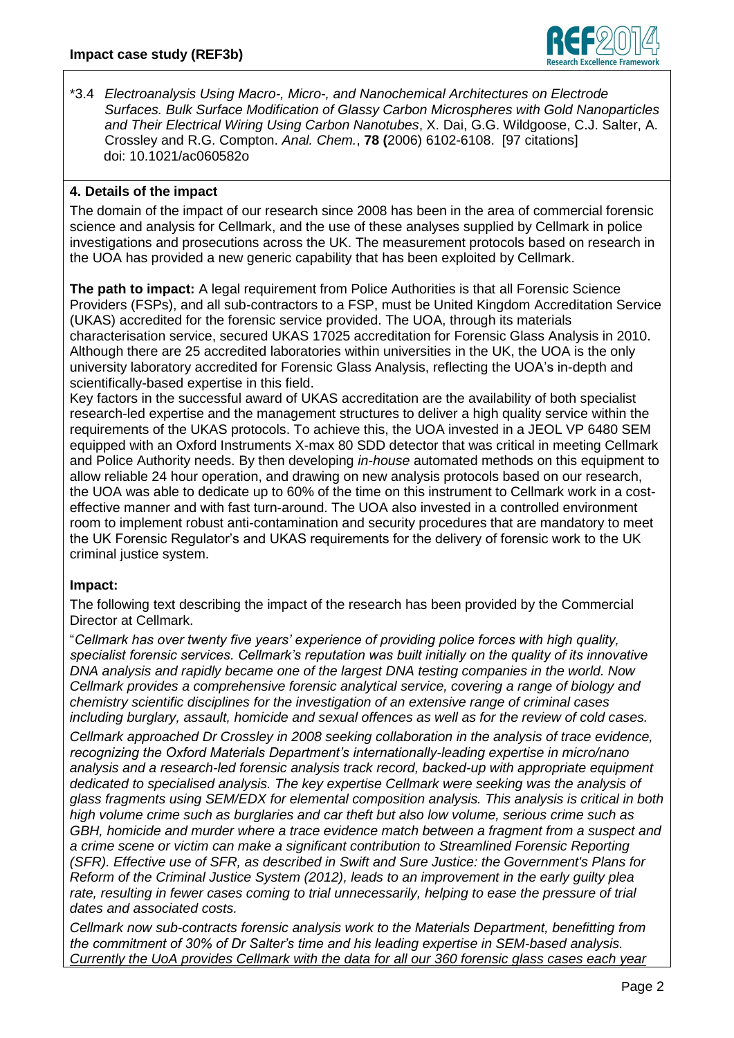

\*3.4 *Electroanalysis Using Macro-, Micro-, and Nanochemical Architectures on Electrode Surfaces. Bulk Surface Modification of Glassy Carbon Microspheres with Gold Nanoparticles and Their Electrical Wiring Using Carbon Nanotubes*, X. Dai, G.G. Wildgoose, C.J. Salter, A. Crossley and R.G. Compton. *Anal. Chem.*, **78 (**2006) 6102-6108. [97 citations] doi: 10.1021/ac060582o

# **4. Details of the impact**

The domain of the impact of our research since 2008 has been in the area of commercial forensic science and analysis for Cellmark, and the use of these analyses supplied by Cellmark in police investigations and prosecutions across the UK. The measurement protocols based on research in the UOA has provided a new generic capability that has been exploited by Cellmark.

**The path to impact:** A legal requirement from Police Authorities is that all Forensic Science Providers (FSPs), and all sub-contractors to a FSP, must be United Kingdom Accreditation Service (UKAS) accredited for the forensic service provided. The UOA, through its materials characterisation service, secured UKAS 17025 accreditation for Forensic Glass Analysis in 2010. Although there are 25 accredited laboratories within universities in the UK, the UOA is the only university laboratory accredited for Forensic Glass Analysis, reflecting the UOA's in-depth and scientifically-based expertise in this field.

Key factors in the successful award of UKAS accreditation are the availability of both specialist research-led expertise and the management structures to deliver a high quality service within the requirements of the UKAS protocols. To achieve this, the UOA invested in a JEOL VP 6480 SEM equipped with an Oxford Instruments X-max 80 SDD detector that was critical in meeting Cellmark and Police Authority needs. By then developing *in-house* automated methods on this equipment to allow reliable 24 hour operation, and drawing on new analysis protocols based on our research, the UOA was able to dedicate up to 60% of the time on this instrument to Cellmark work in a costeffective manner and with fast turn-around. The UOA also invested in a controlled environment room to implement robust anti-contamination and security procedures that are mandatory to meet the UK Forensic Regulator's and UKAS requirements for the delivery of forensic work to the UK criminal justice system.

# **Impact:**

The following text describing the impact of the research has been provided by the Commercial Director at Cellmark.

"*Cellmark has over twenty five years' experience of providing police forces with high quality, specialist forensic services. Cellmark's reputation was built initially on the quality of its innovative DNA analysis and rapidly became one of the largest DNA testing companies in the world. Now Cellmark provides a comprehensive forensic analytical service, covering a range of biology and chemistry scientific disciplines for the investigation of an extensive range of criminal cases including burglary, assault, homicide and sexual offences as well as for the review of cold cases. Cellmark approached Dr Crossley in 2008 seeking collaboration in the analysis of trace evidence, recognizing the Oxford Materials Department's internationally-leading expertise in micro/nano analysis and a research-led forensic analysis track record, backed-up with appropriate equipment dedicated to specialised analysis. The key expertise Cellmark were seeking was the analysis of glass fragments using SEM/EDX for elemental composition analysis. This analysis is critical in both high volume crime such as burglaries and car theft but also low volume, serious crime such as GBH, homicide and murder where a trace evidence match between a fragment from a suspect and a crime scene or victim can make a significant contribution to Streamlined Forensic Reporting (SFR). Effective use of SFR, as described in [Swift and Sure Justice: the Government's Plans for](http://www.justice.gov.uk/publications/policy/moj/swift-and-sure-the-governments-plans-for-reform-of-the-criminal-justice-system)  [Reform of the Criminal Justice System \(2012\),](http://www.justice.gov.uk/publications/policy/moj/swift-and-sure-the-governments-plans-for-reform-of-the-criminal-justice-system) leads to an improvement in the early guilty plea rate, resulting in fewer cases coming to trial unnecessarily, helping to ease the pressure of trial dates and associated costs.*

*Cellmark now sub-contracts forensic analysis work to the Materials Department, benefitting from the commitment of 30% of Dr Salter's time and his leading expertise in SEM-based analysis. [Currently the UoA provides Cellmark with the data for all our 360 forensic glass cases each year](http://www.cellmarkforensics.co.uk/forensic_services/major_crime/forensic_chemistry/glass.html)*